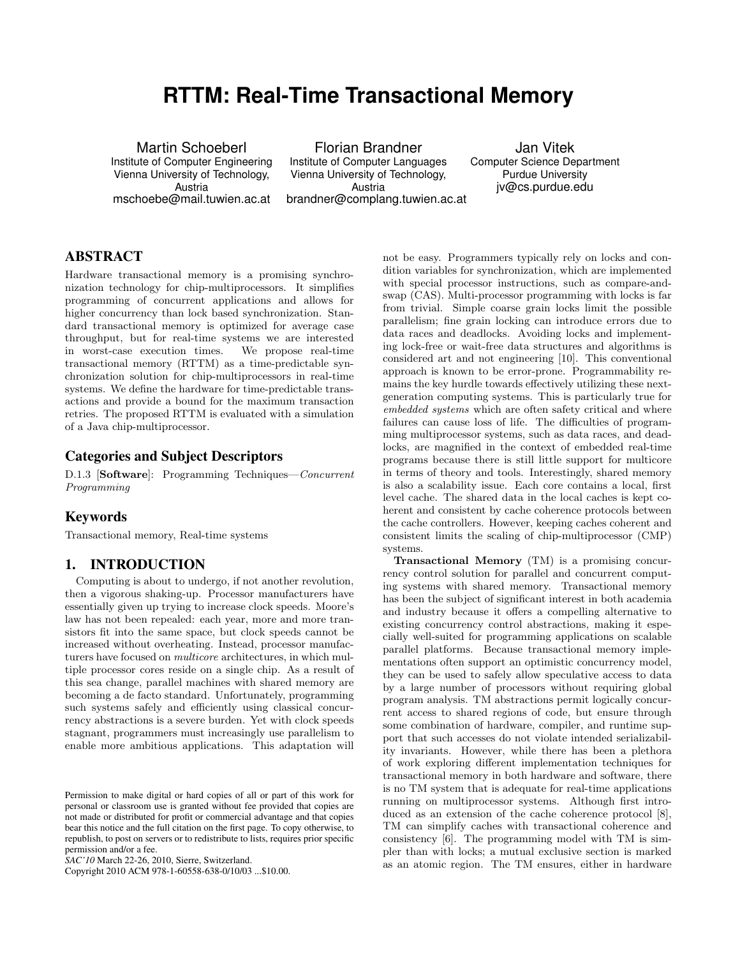# **RTTM: Real-Time Transactional Memory**

Martin Schoeberl Institute of Computer Engineering Vienna University of Technology, Austria mschoebe@mail.tuwien.ac.at

Florian Brandner Institute of Computer Languages Vienna University of Technology, Austria brandner@complang.tuwien.ac.at

Jan Vitek Computer Science Department Purdue University jv@cs.purdue.edu

# ABSTRACT

Hardware transactional memory is a promising synchronization technology for chip-multiprocessors. It simplifies programming of concurrent applications and allows for higher concurrency than lock based synchronization. Standard transactional memory is optimized for average case throughput, but for real-time systems we are interested in worst-case execution times. We propose real-time transactional memory (RTTM) as a time-predictable synchronization solution for chip-multiprocessors in real-time systems. We define the hardware for time-predictable transactions and provide a bound for the maximum transaction retries. The proposed RTTM is evaluated with a simulation of a Java chip-multiprocessor.

## Categories and Subject Descriptors

D.1.3 [Software]: Programming Techniques—Concurrent Programming

## Keywords

Transactional memory, Real-time systems

## 1. INTRODUCTION

Computing is about to undergo, if not another revolution, then a vigorous shaking-up. Processor manufacturers have essentially given up trying to increase clock speeds. Moore's law has not been repealed: each year, more and more transistors fit into the same space, but clock speeds cannot be increased without overheating. Instead, processor manufacturers have focused on multicore architectures, in which multiple processor cores reside on a single chip. As a result of this sea change, parallel machines with shared memory are becoming a de facto standard. Unfortunately, programming such systems safely and efficiently using classical concurrency abstractions is a severe burden. Yet with clock speeds stagnant, programmers must increasingly use parallelism to enable more ambitious applications. This adaptation will

*SAC'10* March 22-26, 2010, Sierre, Switzerland.

Copyright 2010 ACM 978-1-60558-638-0/10/03 ...\$10.00.

not be easy. Programmers typically rely on locks and condition variables for synchronization, which are implemented with special processor instructions, such as compare-andswap (CAS). Multi-processor programming with locks is far from trivial. Simple coarse grain locks limit the possible parallelism; fine grain locking can introduce errors due to data races and deadlocks. Avoiding locks and implementing lock-free or wait-free data structures and algorithms is considered art and not engineering [10]. This conventional approach is known to be error-prone. Programmability remains the key hurdle towards effectively utilizing these nextgeneration computing systems. This is particularly true for embedded systems which are often safety critical and where failures can cause loss of life. The difficulties of programming multiprocessor systems, such as data races, and deadlocks, are magnified in the context of embedded real-time programs because there is still little support for multicore in terms of theory and tools. Interestingly, shared memory is also a scalability issue. Each core contains a local, first level cache. The shared data in the local caches is kept coherent and consistent by cache coherence protocols between the cache controllers. However, keeping caches coherent and consistent limits the scaling of chip-multiprocessor (CMP) systems.

Transactional Memory (TM) is a promising concurrency control solution for parallel and concurrent computing systems with shared memory. Transactional memory has been the subject of significant interest in both academia and industry because it offers a compelling alternative to existing concurrency control abstractions, making it especially well-suited for programming applications on scalable parallel platforms. Because transactional memory implementations often support an optimistic concurrency model, they can be used to safely allow speculative access to data by a large number of processors without requiring global program analysis. TM abstractions permit logically concurrent access to shared regions of code, but ensure through some combination of hardware, compiler, and runtime support that such accesses do not violate intended serializability invariants. However, while there has been a plethora of work exploring different implementation techniques for transactional memory in both hardware and software, there is no TM system that is adequate for real-time applications running on multiprocessor systems. Although first introduced as an extension of the cache coherence protocol [8], TM can simplify caches with transactional coherence and consistency [6]. The programming model with TM is simpler than with locks; a mutual exclusive section is marked as an atomic region. The TM ensures, either in hardware

Permission to make digital or hard copies of all or part of this work for personal or classroom use is granted without fee provided that copies are not made or distributed for profit or commercial advantage and that copies bear this notice and the full citation on the first page. To copy otherwise, to republish, to post on servers or to redistribute to lists, requires prior specific permission and/or a fee.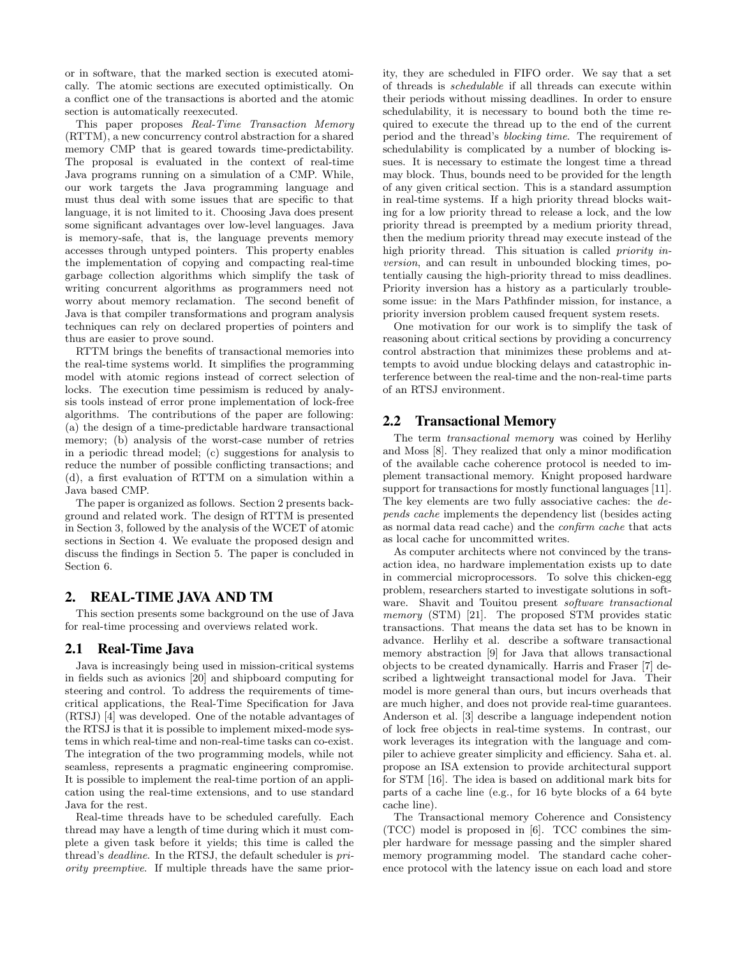or in software, that the marked section is executed atomically. The atomic sections are executed optimistically. On a conflict one of the transactions is aborted and the atomic section is automatically reexecuted.

This paper proposes Real-Time Transaction Memory (RTTM), a new concurrency control abstraction for a shared memory CMP that is geared towards time-predictability. The proposal is evaluated in the context of real-time Java programs running on a simulation of a CMP. While, our work targets the Java programming language and must thus deal with some issues that are specific to that language, it is not limited to it. Choosing Java does present some significant advantages over low-level languages. Java is memory-safe, that is, the language prevents memory accesses through untyped pointers. This property enables the implementation of copying and compacting real-time garbage collection algorithms which simplify the task of writing concurrent algorithms as programmers need not worry about memory reclamation. The second benefit of Java is that compiler transformations and program analysis techniques can rely on declared properties of pointers and thus are easier to prove sound.

RTTM brings the benefits of transactional memories into the real-time systems world. It simplifies the programming model with atomic regions instead of correct selection of locks. The execution time pessimism is reduced by analysis tools instead of error prone implementation of lock-free algorithms. The contributions of the paper are following: (a) the design of a time-predictable hardware transactional memory; (b) analysis of the worst-case number of retries in a periodic thread model; (c) suggestions for analysis to reduce the number of possible conflicting transactions; and (d), a first evaluation of RTTM on a simulation within a Java based CMP.

The paper is organized as follows. Section 2 presents background and related work. The design of RTTM is presented in Section 3, followed by the analysis of the WCET of atomic sections in Section 4. We evaluate the proposed design and discuss the findings in Section 5. The paper is concluded in Section 6.

## 2. REAL-TIME JAVA AND TM

This section presents some background on the use of Java for real-time processing and overviews related work.

## 2.1 Real-Time Java

Java is increasingly being used in mission-critical systems in fields such as avionics [20] and shipboard computing for steering and control. To address the requirements of timecritical applications, the Real-Time Specification for Java (RTSJ) [4] was developed. One of the notable advantages of the RTSJ is that it is possible to implement mixed-mode systems in which real-time and non-real-time tasks can co-exist. The integration of the two programming models, while not seamless, represents a pragmatic engineering compromise. It is possible to implement the real-time portion of an application using the real-time extensions, and to use standard Java for the rest.

Real-time threads have to be scheduled carefully. Each thread may have a length of time during which it must complete a given task before it yields; this time is called the thread's deadline. In the RTSJ, the default scheduler is priority preemptive. If multiple threads have the same priority, they are scheduled in FIFO order. We say that a set of threads is schedulable if all threads can execute within their periods without missing deadlines. In order to ensure schedulability, it is necessary to bound both the time required to execute the thread up to the end of the current period and the thread's blocking time. The requirement of schedulability is complicated by a number of blocking issues. It is necessary to estimate the longest time a thread may block. Thus, bounds need to be provided for the length of any given critical section. This is a standard assumption in real-time systems. If a high priority thread blocks waiting for a low priority thread to release a lock, and the low priority thread is preempted by a medium priority thread, then the medium priority thread may execute instead of the high priority thread. This situation is called *priority* inversion, and can result in unbounded blocking times, potentially causing the high-priority thread to miss deadlines. Priority inversion has a history as a particularly troublesome issue: in the Mars Pathfinder mission, for instance, a priority inversion problem caused frequent system resets.

One motivation for our work is to simplify the task of reasoning about critical sections by providing a concurrency control abstraction that minimizes these problems and attempts to avoid undue blocking delays and catastrophic interference between the real-time and the non-real-time parts of an RTSJ environment.

## 2.2 Transactional Memory

The term transactional memory was coined by Herlihy and Moss [8]. They realized that only a minor modification of the available cache coherence protocol is needed to implement transactional memory. Knight proposed hardware support for transactions for mostly functional languages [11]. The key elements are two fully associative caches: the depends cache implements the dependency list (besides acting as normal data read cache) and the confirm cache that acts as local cache for uncommitted writes.

As computer architects where not convinced by the transaction idea, no hardware implementation exists up to date in commercial microprocessors. To solve this chicken-egg problem, researchers started to investigate solutions in software. Shavit and Touitou present software transactional memory (STM) [21]. The proposed STM provides static transactions. That means the data set has to be known in advance. Herlihy et al. describe a software transactional memory abstraction [9] for Java that allows transactional objects to be created dynamically. Harris and Fraser [7] described a lightweight transactional model for Java. Their model is more general than ours, but incurs overheads that are much higher, and does not provide real-time guarantees. Anderson et al. [3] describe a language independent notion of lock free objects in real-time systems. In contrast, our work leverages its integration with the language and compiler to achieve greater simplicity and efficiency. Saha et. al. propose an ISA extension to provide architectural support for STM [16]. The idea is based on additional mark bits for parts of a cache line (e.g., for 16 byte blocks of a 64 byte cache line).

The Transactional memory Coherence and Consistency (TCC) model is proposed in [6]. TCC combines the simpler hardware for message passing and the simpler shared memory programming model. The standard cache coherence protocol with the latency issue on each load and store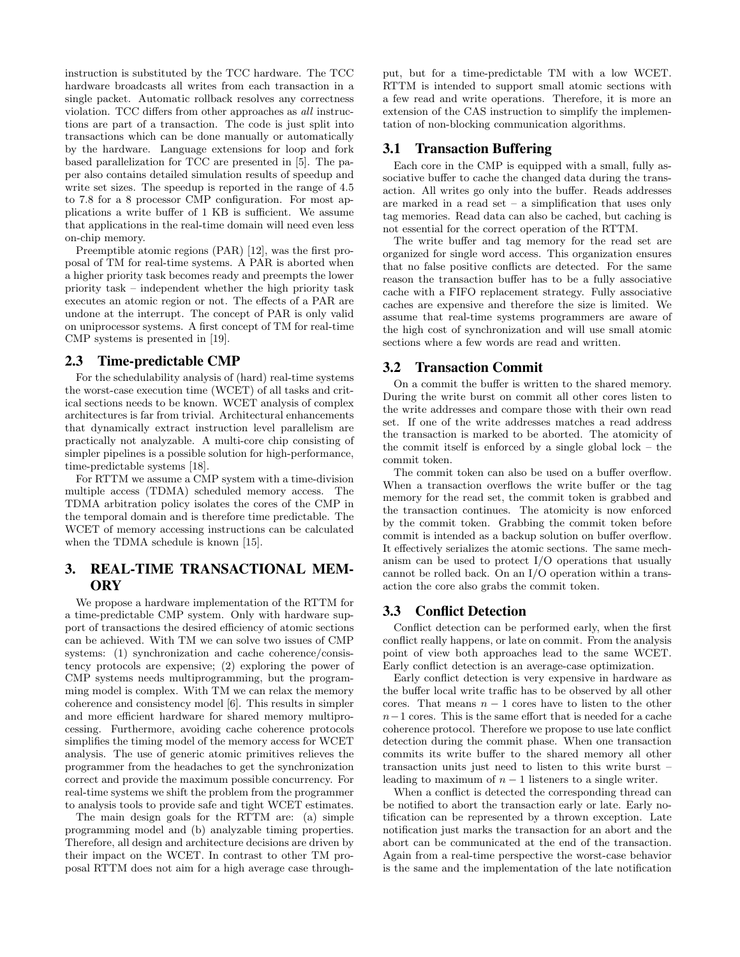instruction is substituted by the TCC hardware. The TCC hardware broadcasts all writes from each transaction in a single packet. Automatic rollback resolves any correctness violation. TCC differs from other approaches as all instructions are part of a transaction. The code is just split into transactions which can be done manually or automatically by the hardware. Language extensions for loop and fork based parallelization for TCC are presented in [5]. The paper also contains detailed simulation results of speedup and write set sizes. The speedup is reported in the range of 4.5 to 7.8 for a 8 processor CMP configuration. For most applications a write buffer of 1 KB is sufficient. We assume that applications in the real-time domain will need even less on-chip memory.

Preemptible atomic regions (PAR) [12], was the first proposal of TM for real-time systems. A PAR is aborted when a higher priority task becomes ready and preempts the lower priority task – independent whether the high priority task executes an atomic region or not. The effects of a PAR are undone at the interrupt. The concept of PAR is only valid on uniprocessor systems. A first concept of TM for real-time CMP systems is presented in [19].

#### 2.3 Time-predictable CMP

For the schedulability analysis of (hard) real-time systems the worst-case execution time (WCET) of all tasks and critical sections needs to be known. WCET analysis of complex architectures is far from trivial. Architectural enhancements that dynamically extract instruction level parallelism are practically not analyzable. A multi-core chip consisting of simpler pipelines is a possible solution for high-performance, time-predictable systems [18].

For RTTM we assume a CMP system with a time-division multiple access (TDMA) scheduled memory access. The TDMA arbitration policy isolates the cores of the CMP in the temporal domain and is therefore time predictable. The WCET of memory accessing instructions can be calculated when the TDMA schedule is known [15].

## 3. REAL-TIME TRANSACTIONAL MEM-**ORY**

We propose a hardware implementation of the RTTM for a time-predictable CMP system. Only with hardware support of transactions the desired efficiency of atomic sections can be achieved. With TM we can solve two issues of CMP systems: (1) synchronization and cache coherence/consistency protocols are expensive; (2) exploring the power of CMP systems needs multiprogramming, but the programming model is complex. With TM we can relax the memory coherence and consistency model [6]. This results in simpler and more efficient hardware for shared memory multiprocessing. Furthermore, avoiding cache coherence protocols simplifies the timing model of the memory access for WCET analysis. The use of generic atomic primitives relieves the programmer from the headaches to get the synchronization correct and provide the maximum possible concurrency. For real-time systems we shift the problem from the programmer to analysis tools to provide safe and tight WCET estimates.

The main design goals for the RTTM are: (a) simple programming model and (b) analyzable timing properties. Therefore, all design and architecture decisions are driven by their impact on the WCET. In contrast to other TM proposal RTTM does not aim for a high average case throughput, but for a time-predictable TM with a low WCET. RTTM is intended to support small atomic sections with a few read and write operations. Therefore, it is more an extension of the CAS instruction to simplify the implementation of non-blocking communication algorithms.

#### 3.1 Transaction Buffering

Each core in the CMP is equipped with a small, fully associative buffer to cache the changed data during the transaction. All writes go only into the buffer. Reads addresses are marked in a read set – a simplification that uses only tag memories. Read data can also be cached, but caching is not essential for the correct operation of the RTTM.

The write buffer and tag memory for the read set are organized for single word access. This organization ensures that no false positive conflicts are detected. For the same reason the transaction buffer has to be a fully associative cache with a FIFO replacement strategy. Fully associative caches are expensive and therefore the size is limited. We assume that real-time systems programmers are aware of the high cost of synchronization and will use small atomic sections where a few words are read and written.

#### 3.2 Transaction Commit

On a commit the buffer is written to the shared memory. During the write burst on commit all other cores listen to the write addresses and compare those with their own read set. If one of the write addresses matches a read address the transaction is marked to be aborted. The atomicity of the commit itself is enforced by a single global lock – the commit token.

The commit token can also be used on a buffer overflow. When a transaction overflows the write buffer or the tag memory for the read set, the commit token is grabbed and the transaction continues. The atomicity is now enforced by the commit token. Grabbing the commit token before commit is intended as a backup solution on buffer overflow. It effectively serializes the atomic sections. The same mechanism can be used to protect I/O operations that usually cannot be rolled back. On an I/O operation within a transaction the core also grabs the commit token.

## 3.3 Conflict Detection

Conflict detection can be performed early, when the first conflict really happens, or late on commit. From the analysis point of view both approaches lead to the same WCET. Early conflict detection is an average-case optimization.

Early conflict detection is very expensive in hardware as the buffer local write traffic has to be observed by all other cores. That means  $n-1$  cores have to listen to the other  $n-1$  cores. This is the same effort that is needed for a cache coherence protocol. Therefore we propose to use late conflict detection during the commit phase. When one transaction commits its write buffer to the shared memory all other transaction units just need to listen to this write burst – leading to maximum of  $n-1$  listeners to a single writer.

When a conflict is detected the corresponding thread can be notified to abort the transaction early or late. Early notification can be represented by a thrown exception. Late notification just marks the transaction for an abort and the abort can be communicated at the end of the transaction. Again from a real-time perspective the worst-case behavior is the same and the implementation of the late notification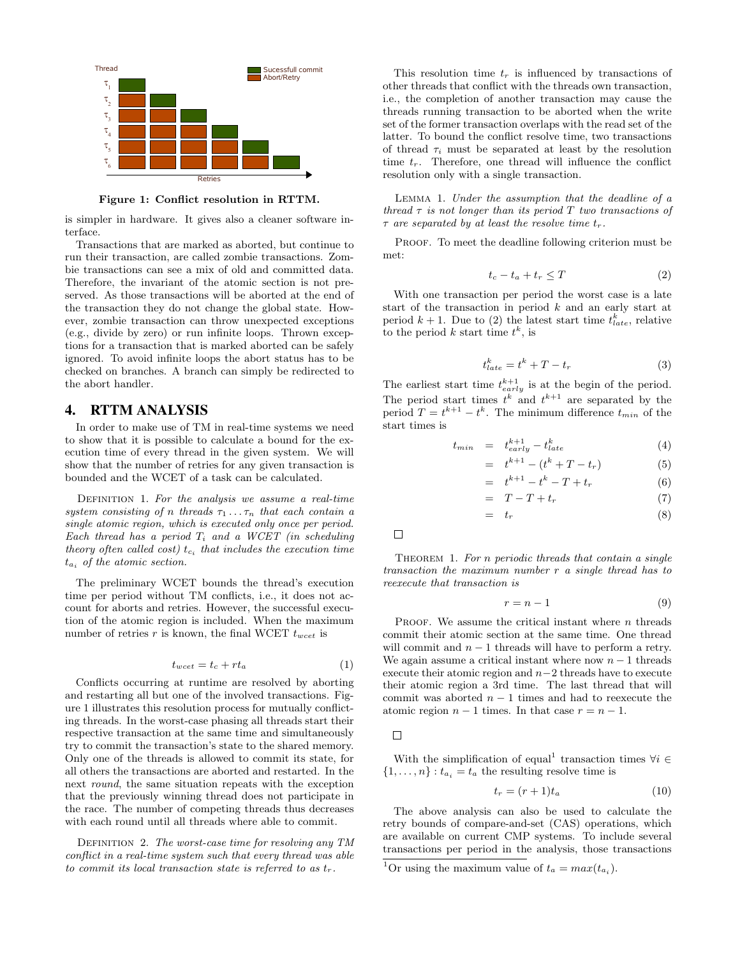

Figure 1: Conflict resolution in RTTM.

is simpler in hardware. It gives also a cleaner software interface.

Transactions that are marked as aborted, but continue to run their transaction, are called zombie transactions. Zombie transactions can see a mix of old and committed data. Therefore, the invariant of the atomic section is not preserved. As those transactions will be aborted at the end of the transaction they do not change the global state. However, zombie transaction can throw unexpected exceptions (e.g., divide by zero) or run infinite loops. Thrown exceptions for a transaction that is marked aborted can be safely ignored. To avoid infinite loops the abort status has to be checked on branches. A branch can simply be redirected to the abort handler.

#### 4. RTTM ANALYSIS

In order to make use of TM in real-time systems we need to show that it is possible to calculate a bound for the execution time of every thread in the given system. We will show that the number of retries for any given transaction is bounded and the WCET of a task can be calculated.

DEFINITION 1. For the analysis we assume a real-time system consisting of n threads  $\tau_1 \ldots \tau_n$  that each contain a single atomic region, which is executed only once per period. Each thread has a period  $T_i$  and a WCET (in scheduling theory often called cost)  $t_{c_i}$  that includes the execution time  $t_{a_i}$  of the atomic section.

The preliminary WCET bounds the thread's execution time per period without TM conflicts, i.e., it does not account for aborts and retries. However, the successful execution of the atomic region is included. When the maximum number of retries r is known, the final WCET  $t_{wcet}$  is

$$
t_{wcet} = t_c + rt_a \tag{1}
$$

Conflicts occurring at runtime are resolved by aborting and restarting all but one of the involved transactions. Figure 1 illustrates this resolution process for mutually conflicting threads. In the worst-case phasing all threads start their respective transaction at the same time and simultaneously try to commit the transaction's state to the shared memory. Only one of the threads is allowed to commit its state, for all others the transactions are aborted and restarted. In the next round, the same situation repeats with the exception that the previously winning thread does not participate in the race. The number of competing threads thus decreases with each round until all threads where able to commit.

DEFINITION 2. The worst-case time for resolving any TM conflict in a real-time system such that every thread was able to commit its local transaction state is referred to as  $t_r$ .

This resolution time  $t_r$  is influenced by transactions of other threads that conflict with the threads own transaction, i.e., the completion of another transaction may cause the threads running transaction to be aborted when the write set of the former transaction overlaps with the read set of the latter. To bound the conflict resolve time, two transactions of thread  $\tau_i$  must be separated at least by the resolution time  $t_r$ . Therefore, one thread will influence the conflict resolution only with a single transaction.

Lemma 1. Under the assumption that the deadline of a thread  $\tau$  is not longer than its period  $T$  two transactions of  $\tau$  are separated by at least the resolve time  $t_r$ .

PROOF. To meet the deadline following criterion must be met:

$$
t_c - t_a + t_r \le T \tag{2}
$$

With one transaction per period the worst case is a late start of the transaction in period k and an early start at period  $k + 1$ . Due to (2) the latest start time  $t_{late}^k$ , relative to the period k start time  $t^k$ , is

$$
t_{late}^k = t^k + T - t_r \tag{3}
$$

The earliest start time  $t_{early}^{k+1}$  is at the begin of the period. The period start times  $t^k$  and  $t^{k+1}$  are separated by the period  $T = t^{k+1} - t^k$ . The minimum difference  $t_{min}$  of the start times is

$$
t_{min} = t_{early}^{k+1} - t_{late}^{k} \tag{4}
$$

$$
= t^{k+1} - (t^k + T - t_r) \tag{5}
$$

$$
= t^{k+1} - t^k - T + t_r \tag{6}
$$

$$
= T - T + t_r \tag{7}
$$

$$
= t_r \tag{8}
$$

 $\Box$ 

THEOREM 1. For n periodic threads that contain a single transaction the maximum number r a single thread has to reexecute that transaction is

$$
r = n - 1 \tag{9}
$$

PROOF. We assume the critical instant where  $n$  threads commit their atomic section at the same time. One thread will commit and  $n-1$  threads will have to perform a retry. We again assume a critical instant where now  $n-1$  threads execute their atomic region and  $n-2$  threads have to execute their atomic region a 3rd time. The last thread that will commit was aborted  $n-1$  times and had to reexecute the atomic region  $n - 1$  times. In that case  $r = n - 1$ .

#### $\Box$

With the simplification of equal<sup>1</sup> transaction times  $\forall i \in$  $\{1, \ldots, n\} : t_{a_i} = t_a$  the resulting resolve time is

$$
t_r = (r+1)t_a \tag{10}
$$

The above analysis can also be used to calculate the retry bounds of compare-and-set (CAS) operations, which are available on current CMP systems. To include several transactions per period in the analysis, those transactions

<sup>&</sup>lt;sup>1</sup>Or using the maximum value of  $t_a = max(t_{a_i})$ .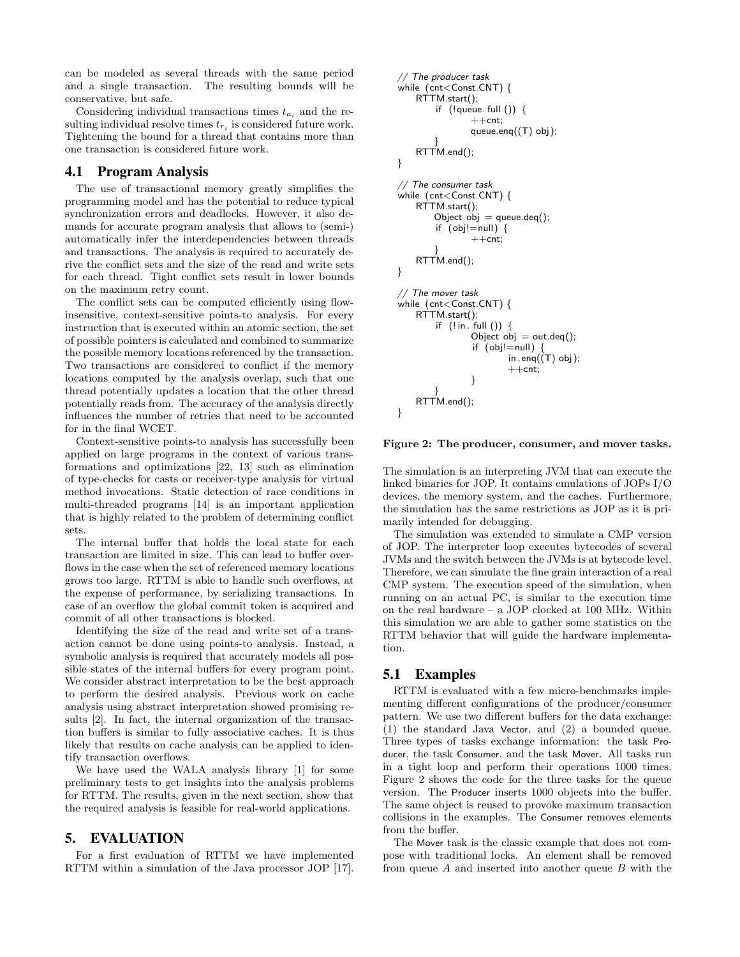can be modeled as several threads with the same period and a single transaction. The resulting bounds will be conservative, but safe.

Considering individual transactions times  $t_{a_i}$  and the resulting individual resolve times  $t_{r_i}$  is considered future work. Tightening the bound for a thread that contains more than one transaction is considered future work.

#### 4.1 Program Analysis

The use of transactional memory greatly simplifies the programming model and has the potential to reduce typical synchronization errors and deadlocks. However, it also demands for accurate program analysis that allows to (semi-) automatically infer the interdependencies between threads and transactions. The analysis is required to accurately derive the conflict sets and the size of the read and write sets for each thread. Tight conflict sets result in lower bounds on the maximum retry count.

The conflict sets can be computed efficiently using flowinsensitive, context-sensitive points-to analysis. For every instruction that is executed within an atomic section, the set of possible pointers is calculated and combined to summarize the possible memory locations referenced by the transaction. Two transactions are considered to conflict if the memory locations computed by the analysis overlap, such that one thread potentially updates a location that the other thread potentially reads from. The accuracy of the analysis directly influences the number of retries that need to be accounted for in the final WCET.

Context-sensitive points-to analysis has successfully been applied on large programs in the context of various transformations and optimizations [22, 13] such as elimination of type-checks for casts or receiver-type analysis for virtual method invocations. Static detection of race conditions in multi-threaded programs [14] is an important application that is highly related to the problem of determining conflict sets.

The internal buffer that holds the local state for each transaction are limited in size. This can lead to buffer overflows in the case when the set of referenced memory locations grows too large. RTTM is able to handle such overflows, at the expense of performance, by serializing transactions. In case of an overflow the global commit token is acquired and commit of all other transactions is blocked.

Identifying the size of the read and write set of a transaction cannot be done using points-to analysis. Instead, a symbolic analysis is required that accurately models all possible states of the internal buffers for every program point. We consider abstract interpretation to be the best approach to perform the desired analysis. Previous work on cache analysis using abstract interpretation showed promising results [2]. In fact, the internal organization of the transaction buffers is similar to fully associative caches. It is thus likely that results on cache analysis can be applied to identify transaction overflows.

We have used the WALA analysis library [1] for some preliminary tests to get insights into the analysis problems for RTTM. The results, given in the next section, show that the required analysis is feasible for real-world applications.

#### 5. EVALUATION

For a first evaluation of RTTM we have implemented RTTM within a simulation of the Java processor JOP [17].

```
// The producer task
while (cnt<Const.CNT) {
    RTTM.start();
         if (! queue. full ())++cnt;
                 queue.enq((T) obj );
         }
    RTTM.end();
}
// The consumer task
while (cnt<Const.CNT) {
    RTTM.start();
        Object \overrightarrow{obj} = queue.deq();
         if (obj!=null) {
                 ++cnt;
         }
    RTTM.end();
}
// The mover task
while (cnt<Const.CNT) {
    RTTM.start();
        if (\text{lin} \cdot \text{full}() \}Object obj = out.deg();
                  if (obj!=null) {
                          in .enq((T) obj);
                           ++cnt:
                 }
         }
    RTTM.end();
}
```
#### Figure 2: The producer, consumer, and mover tasks.

The simulation is an interpreting JVM that can execute the linked binaries for JOP. It contains emulations of JOPs I/O devices, the memory system, and the caches. Furthermore, the simulation has the same restrictions as JOP as it is primarily intended for debugging.

The simulation was extended to simulate a CMP version of JOP. The interpreter loop executes bytecodes of several JVMs and the switch between the JVMs is at bytecode level. Therefore, we can simulate the fine grain interaction of a real CMP system. The execution speed of the simulation, when running on an actual PC, is similar to the execution time on the real hardware – a JOP clocked at 100 MHz. Within this simulation we are able to gather some statistics on the RTTM behavior that will guide the hardware implementation.

## 5.1 Examples

RTTM is evaluated with a few micro-benchmarks implementing different configurations of the producer/consumer pattern. We use two different buffers for the data exchange: (1) the standard Java Vector, and (2) a bounded queue. Three types of tasks exchange information: the task Producer, the task Consumer, and the task Mover. All tasks run in a tight loop and perform their operations 1000 times. Figure 2 shows the code for the three tasks for the queue version. The Producer inserts 1000 objects into the buffer. The same object is reused to provoke maximum transaction collisions in the examples. The Consumer removes elements from the buffer.

The Mover task is the classic example that does not compose with traditional locks. An element shall be removed from queue  $A$  and inserted into another queue  $B$  with the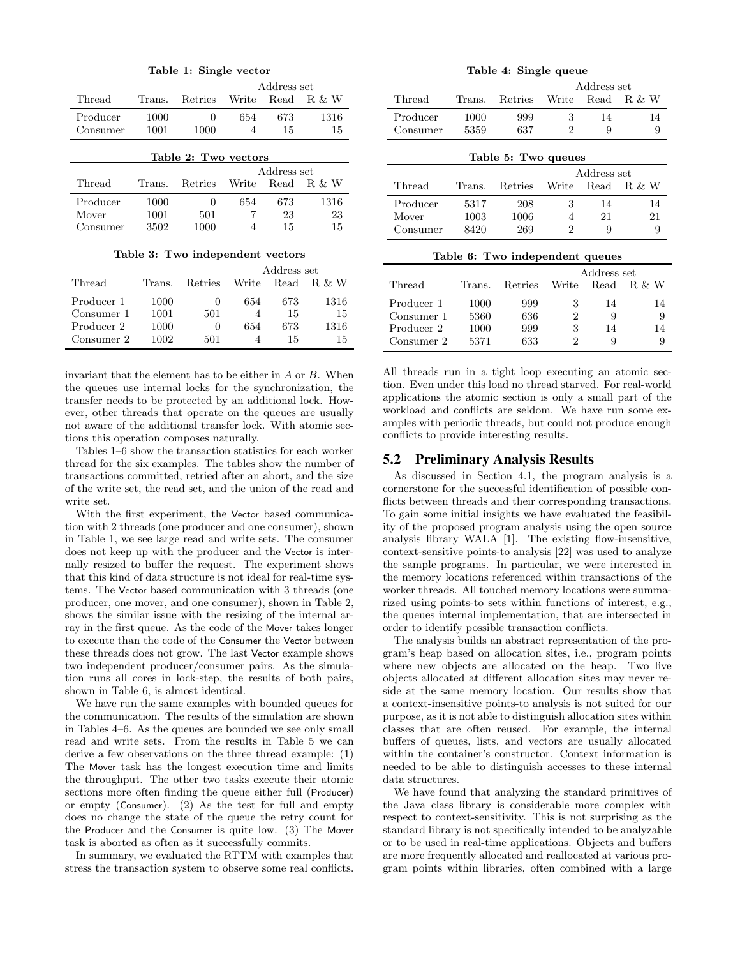| Table 1: Single vector |             |                |       |             |       |
|------------------------|-------------|----------------|-------|-------------|-------|
|                        | Address set |                |       |             |       |
| Thread                 | Trans.      | <b>Retries</b> | Write | Read        | R & W |
| Producer               | 1000        | 0              | 654   | 673         | 1316  |
| Consumer               | 1001        | 1000           | 4     | 15          | 15    |
| Table 2: Two vectors   |             |                |       |             |       |
|                        |             |                |       |             |       |
|                        |             |                |       | Address set |       |
| Thread                 | Trans.      | Retries        | Write | Read        | R & W |
| Producer               | 1000        | 0              | 654   | 673         | 1316  |
| Mover                  | 1001        | 501            |       | 23          | 23    |
| Consumer               | 3502        | 1000           | 4     | 15          | 15    |

|            |        |              | Address set |      |       |
|------------|--------|--------------|-------------|------|-------|
| Thread     | Trans. | Retries      | Write       | Read | R & W |
| Producer 1 | 1000   |              | 654         | 673  | 1316  |
| Consumer 1 | 1001   | 501          | 4           | 15   | 15    |
| Producer 2 | 1000   | $\mathbf{0}$ | 654         | 673  | 1316  |
| Consumer 2 | 1002   | 501          |             | 15   | 15    |

invariant that the element has to be either in A or B. When the queues use internal locks for the synchronization, the transfer needs to be protected by an additional lock. However, other threads that operate on the queues are usually not aware of the additional transfer lock. With atomic sections this operation composes naturally.

Tables 1–6 show the transaction statistics for each worker thread for the six examples. The tables show the number of transactions committed, retried after an abort, and the size of the write set, the read set, and the union of the read and write set.

With the first experiment, the Vector based communication with 2 threads (one producer and one consumer), shown in Table 1, we see large read and write sets. The consumer does not keep up with the producer and the Vector is internally resized to buffer the request. The experiment shows that this kind of data structure is not ideal for real-time systems. The Vector based communication with 3 threads (one producer, one mover, and one consumer), shown in Table 2, shows the similar issue with the resizing of the internal array in the first queue. As the code of the Mover takes longer to execute than the code of the Consumer the Vector between these threads does not grow. The last Vector example shows two independent producer/consumer pairs. As the simulation runs all cores in lock-step, the results of both pairs, shown in Table 6, is almost identical.

We have run the same examples with bounded queues for the communication. The results of the simulation are shown in Tables 4–6. As the queues are bounded we see only small read and write sets. From the results in Table 5 we can derive a few observations on the three thread example: (1) The Mover task has the longest execution time and limits the throughput. The other two tasks execute their atomic sections more often finding the queue either full (Producer) or empty (Consumer). (2) As the test for full and empty does no change the state of the queue the retry count for the Producer and the Consumer is quite low. (3) The Mover task is aborted as often as it successfully commits.

In summary, we evaluated the RTTM with examples that stress the transaction system to observe some real conflicts.

| Table 4: Single queue           |                              |                     |                |            |       |  |
|---------------------------------|------------------------------|---------------------|----------------|------------|-------|--|
| Address set                     |                              |                     |                |            |       |  |
| Thread                          | Trans.                       | <b>Retries</b>      | Write          | Read       | R & W |  |
| Producer                        | 1000                         | 999                 | 3              | 14         | 14    |  |
| Consumer                        | 5359                         | 637                 | $\overline{2}$ | 9          | 9     |  |
|                                 |                              | Table 5: Two queues |                |            |       |  |
| Address set                     |                              |                     |                |            |       |  |
| Thread                          | Trans.                       | Retries             | Write          | Read       | R & W |  |
| Producer                        | 5317                         | 208                 | 3              | 14         | 14    |  |
| Mover                           | 1003                         | 1006<br>4           |                | 21         | 21    |  |
| Consumer                        | 8420                         | 2<br>269            |                | 9          | 9     |  |
| Table 6: Two independent queues |                              |                     |                |            |       |  |
| Address set                     |                              |                     |                |            |       |  |
| Thread                          | Trans.                       | <b>Retries</b>      |                | Write Read | R & W |  |
| Producer 1                      | 1000                         | 999                 | 3              | 14         | 14    |  |
| Consumer 1                      | 5360                         | 636                 | 2              | 9          | 9     |  |
| Producer 2                      | 3<br>1000<br>999<br>14<br>14 |                     |                |            |       |  |

All threads run in a tight loop executing an atomic section. Even under this load no thread starved. For real-world applications the atomic section is only a small part of the workload and conflicts are seldom. We have run some examples with periodic threads, but could not produce enough conflicts to provide interesting results.

Consumer 2 5371 633 2 9 9

#### 5.2 Preliminary Analysis Results

As discussed in Section 4.1, the program analysis is a cornerstone for the successful identification of possible conflicts between threads and their corresponding transactions. To gain some initial insights we have evaluated the feasibility of the proposed program analysis using the open source analysis library WALA [1]. The existing flow-insensitive, context-sensitive points-to analysis [22] was used to analyze the sample programs. In particular, we were interested in the memory locations referenced within transactions of the worker threads. All touched memory locations were summarized using points-to sets within functions of interest, e.g., the queues internal implementation, that are intersected in order to identify possible transaction conflicts.

The analysis builds an abstract representation of the program's heap based on allocation sites, i.e., program points where new objects are allocated on the heap. Two live objects allocated at different allocation sites may never reside at the same memory location. Our results show that a context-insensitive points-to analysis is not suited for our purpose, as it is not able to distinguish allocation sites within classes that are often reused. For example, the internal buffers of queues, lists, and vectors are usually allocated within the container's constructor. Context information is needed to be able to distinguish accesses to these internal data structures.

We have found that analyzing the standard primitives of the Java class library is considerable more complex with respect to context-sensitivity. This is not surprising as the standard library is not specifically intended to be analyzable or to be used in real-time applications. Objects and buffers are more frequently allocated and reallocated at various program points within libraries, often combined with a large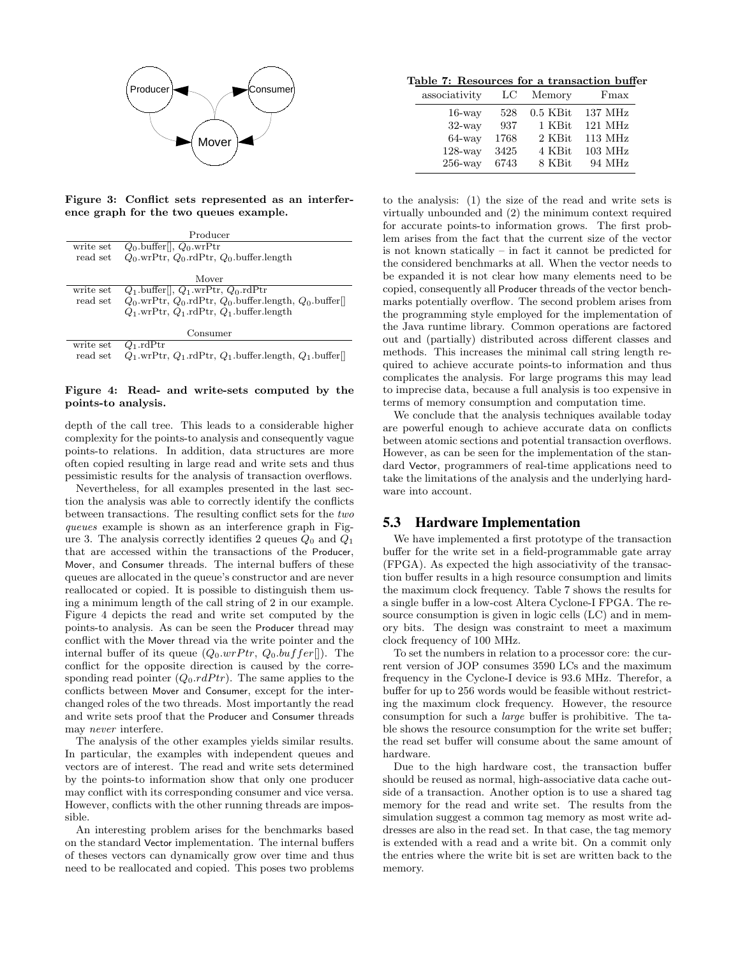

Figure 3: Conflict sets represented as an interference graph for the two queues example.

| Producer  |                                                                 |  |  |  |  |
|-----------|-----------------------------------------------------------------|--|--|--|--|
| write set | $Q_0$ buffer., $Q_0$ wrPtr                                      |  |  |  |  |
| read set  | $Q_0$ .wrPtr, $Q_0$ .rdPtr, $Q_0$ .buffer.length                |  |  |  |  |
|           |                                                                 |  |  |  |  |
| Mover     |                                                                 |  |  |  |  |
| write set | $Q_1$ .buffer[], $Q_1$ .wrPtr, $Q_0$ .rdPtr                     |  |  |  |  |
| read set  | $Q_0$ .wrPtr, $Q_0$ .rdPtr, $Q_0$ .buffer.length, $Q_0$ .buffer |  |  |  |  |
|           | $Q_1$ wrPtr, $Q_1$ rdPtr, $Q_1$ buffer length                   |  |  |  |  |
|           |                                                                 |  |  |  |  |
| Consumer  |                                                                 |  |  |  |  |
| write set | $Q_1$ .rdPtr                                                    |  |  |  |  |
| read set  | $Q_1$ .wrPtr, $Q_1$ .rdPtr, $Q_1$ .buffer.length, $Q_1$ .buffer |  |  |  |  |

#### Figure 4: Read- and write-sets computed by the points-to analysis.

depth of the call tree. This leads to a considerable higher complexity for the points-to analysis and consequently vague points-to relations. In addition, data structures are more often copied resulting in large read and write sets and thus pessimistic results for the analysis of transaction overflows.

Nevertheless, for all examples presented in the last section the analysis was able to correctly identify the conflicts between transactions. The resulting conflict sets for the two queues example is shown as an interference graph in Figure 3. The analysis correctly identifies 2 queues  $Q_0$  and  $Q_1$ that are accessed within the transactions of the Producer, Mover, and Consumer threads. The internal buffers of these queues are allocated in the queue's constructor and are never reallocated or copied. It is possible to distinguish them using a minimum length of the call string of 2 in our example. Figure 4 depicts the read and write set computed by the points-to analysis. As can be seen the Producer thread may conflict with the Mover thread via the write pointer and the internal buffer of its queue  $(Q_0.wrPtr, Q_0.buffer[])$ . The conflict for the opposite direction is caused by the corresponding read pointer  $(Q_0.rdPtr)$ . The same applies to the conflicts between Mover and Consumer, except for the interchanged roles of the two threads. Most importantly the read and write sets proof that the Producer and Consumer threads may never interfere.

The analysis of the other examples yields similar results. In particular, the examples with independent queues and vectors are of interest. The read and write sets determined by the points-to information show that only one producer may conflict with its corresponding consumer and vice versa. However, conflicts with the other running threads are impossible.

An interesting problem arises for the benchmarks based on the standard Vector implementation. The internal buffers of theses vectors can dynamically grow over time and thus need to be reallocated and copied. This poses two problems

Table 7: Resources for a transaction buffer

| associativity | LC.  | Memory     | Fmax               |
|---------------|------|------------|--------------------|
| $16$ -way     | 528  | $0.5$ KBit | $137$ MHz          |
| $32$ -way     | 937  | 1 KBit     | $121$ MHz          |
| $64$ -way     | 1768 | 2 KBit     | $113$ MHz          |
| $128$ -way    | 3425 | 4 KBit     | $103~\mathrm{MHz}$ |
| $256$ -way    | 6743 | 8 KBit     | 94 MHz             |
|               |      |            |                    |

to the analysis: (1) the size of the read and write sets is virtually unbounded and (2) the minimum context required for accurate points-to information grows. The first problem arises from the fact that the current size of the vector is not known statically – in fact it cannot be predicted for the considered benchmarks at all. When the vector needs to be expanded it is not clear how many elements need to be copied, consequently all Producer threads of the vector benchmarks potentially overflow. The second problem arises from the programming style employed for the implementation of the Java runtime library. Common operations are factored out and (partially) distributed across different classes and methods. This increases the minimal call string length required to achieve accurate points-to information and thus complicates the analysis. For large programs this may lead to imprecise data, because a full analysis is too expensive in terms of memory consumption and computation time.

We conclude that the analysis techniques available today are powerful enough to achieve accurate data on conflicts between atomic sections and potential transaction overflows. However, as can be seen for the implementation of the standard Vector, programmers of real-time applications need to take the limitations of the analysis and the underlying hardware into account.

## 5.3 Hardware Implementation

We have implemented a first prototype of the transaction buffer for the write set in a field-programmable gate array (FPGA). As expected the high associativity of the transaction buffer results in a high resource consumption and limits the maximum clock frequency. Table 7 shows the results for a single buffer in a low-cost Altera Cyclone-I FPGA. The resource consumption is given in logic cells (LC) and in memory bits. The design was constraint to meet a maximum clock frequency of 100 MHz.

To set the numbers in relation to a processor core: the current version of JOP consumes 3590 LCs and the maximum frequency in the Cyclone-I device is 93.6 MHz. Therefor, a buffer for up to 256 words would be feasible without restricting the maximum clock frequency. However, the resource consumption for such a large buffer is prohibitive. The table shows the resource consumption for the write set buffer; the read set buffer will consume about the same amount of hardware.

Due to the high hardware cost, the transaction buffer should be reused as normal, high-associative data cache outside of a transaction. Another option is to use a shared tag memory for the read and write set. The results from the simulation suggest a common tag memory as most write addresses are also in the read set. In that case, the tag memory is extended with a read and a write bit. On a commit only the entries where the write bit is set are written back to the memory.